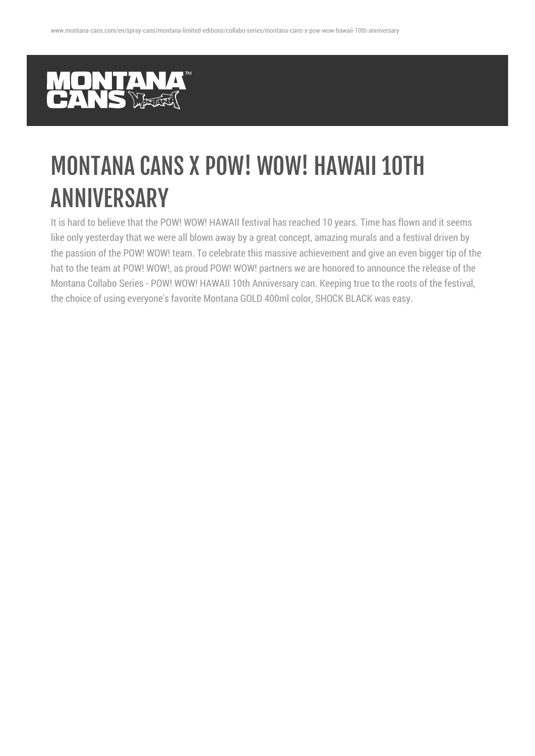

## MONTANA CANS X POW! WOW! HAWAII 10TH ANNIVERSARY

It is hard to believe that the POW! WOW! HAWAII festival has reached 10 years. Time has flown and it seems like only yesterday that we were all blown away by a great concept, amazing murals and a festival driven by the passion of the POW! WOW! team. To celebrate this massive achievement and give an even bigger tip of the hat to the team at POW! WOW!, as proud POW! WOW! partners we are honored to announce the release of the Montana Collabo Series - POW! WOW! HAWAII 10th Anniversary can. Keeping true to the roots of the festival, the choice of using everyone's favorite Montana GOLD 400ml color, SHOCK BLACK was easy.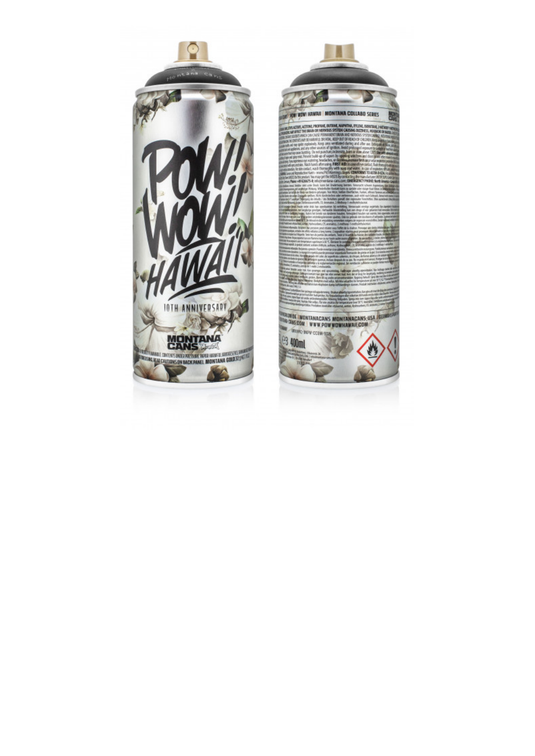